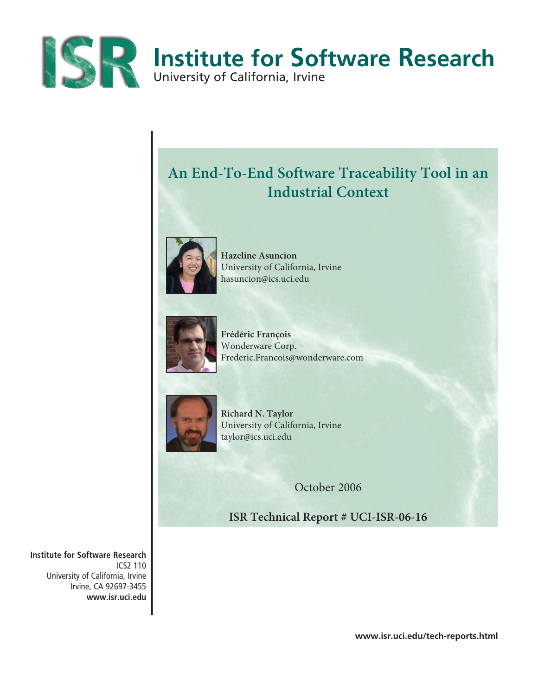

# **An End-To-End Software Traceability Tool in an Industrial Context**



**Hazeline Asuncion**  University of California, Irvine hasuncion@ics.uci.edu



**Frédéric François** Wonderware Corp. Frederic.Francois@wonderware.com



**Richard N. Taylor** University of California, Irvine taylor@ics.uci.edu

October 2006

**ISR Technical Report # UCI-ISR-06-16**

**Institute for Software Research** ICS2 110 University of California, Irvine Irvine, CA 92697-3455 **www.isr.uci.edu**

**www.isr.uci.edu/tech-reports.html**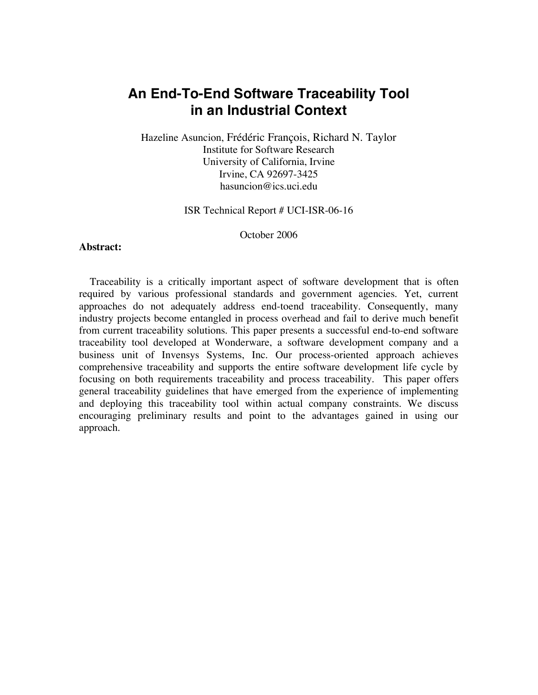# **An End-To-End Software Traceability Tool in an Industrial Context**

Hazeline Asuncion, Frédéric François, Richard N. Taylor Institute for Software Research University of California, Irvine Irvine, CA 92697-3425 hasuncion@ics.uci.edu

ISR Technical Report # UCI-ISR-06-16

October 2006

## **Abstract:**

Traceability is a critically important aspect of software development that is often required by various professional standards and government agencies. Yet, current approaches do not adequately address end-toend traceability. Consequently, many industry projects become entangled in process overhead and fail to derive much benefit from current traceability solutions. This paper presents a successful end-to-end software traceability tool developed at Wonderware, a software development company and a business unit of Invensys Systems, Inc. Our process-oriented approach achieves comprehensive traceability and supports the entire software development life cycle by focusing on both requirements traceability and process traceability. This paper offers general traceability guidelines that have emerged from the experience of implementing and deploying this traceability tool within actual company constraints. We discuss encouraging preliminary results and point to the advantages gained in using our approach.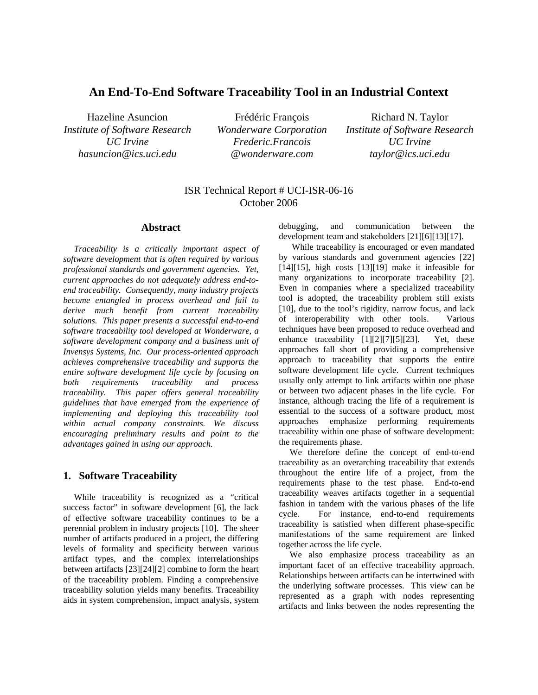# **An End-To-End Software Traceability Tool in an Industrial Context**

Hazeline Asuncion *Institute of Software Research UC Irvine hasuncion@ics.uci.edu* 

Frédéric François *Wonderware Corporation Frederic.Francois @wonderware.com* 

Richard N. Taylor *Institute of Software Research UC Irvine taylor@ics.uci.edu* 

# ISR Technical Report # UCI-ISR-06-16 October 2006

#### **Abstract**

*Traceability is a critically important aspect of software development that is often required by various professional standards and government agencies. Yet, current approaches do not adequately address end-toend traceability. Consequently, many industry projects become entangled in process overhead and fail to derive much benefit from current traceability solutions. This paper presents a successful end-to-end software traceability tool developed at Wonderware, a software development company and a business unit of Invensys Systems, Inc. Our process-oriented approach achieves comprehensive traceability and supports the entire software development life cycle by focusing on both requirements traceability and process traceability. This paper offers general traceability guidelines that have emerged from the experience of implementing and deploying this traceability tool within actual company constraints. We discuss encouraging preliminary results and point to the advantages gained in using our approach.* 

#### **1. Software Traceability**

While traceability is recognized as a "critical success factor" in software development [6], the lack of effective software traceability continues to be a perennial problem in industry projects [10]. The sheer number of artifacts produced in a project, the differing levels of formality and specificity between various artifact types, and the complex interrelationships between artifacts [23][24][2] combine to form the heart of the traceability problem. Finding a comprehensive traceability solution yields many benefits. Traceability aids in system comprehension, impact analysis, system debugging, and communication between the development team and stakeholders [21][6][13][17].

 While traceability is encouraged or even mandated by various standards and government agencies [22]  $[14][15]$ , high costs  $[13][19]$  make it infeasible for many organizations to incorporate traceability [2]. Even in companies where a specialized traceability tool is adopted, the traceability problem still exists [10], due to the tool's rigidity, narrow focus, and lack of interoperability with other tools. Various techniques have been proposed to reduce overhead and enhance traceability [1][2][7][5][23]. Yet, these approaches fall short of providing a comprehensive approach to traceability that supports the entire software development life cycle. Current techniques usually only attempt to link artifacts within one phase or between two adjacent phases in the life cycle. For instance, although tracing the life of a requirement is essential to the success of a software product, most approaches emphasize performing requirements traceability within one phase of software development: the requirements phase.

We therefore define the concept of end-to-end traceability as an overarching traceability that extends throughout the entire life of a project, from the requirements phase to the test phase. End-to-end traceability weaves artifacts together in a sequential fashion in tandem with the various phases of the life cycle. For instance, end-to-end requirements traceability is satisfied when different phase-specific manifestations of the same requirement are linked together across the life cycle.

We also emphasize process traceability as an important facet of an effective traceability approach. Relationships between artifacts can be intertwined with the underlying software processes. This view can be represented as a graph with nodes representing artifacts and links between the nodes representing the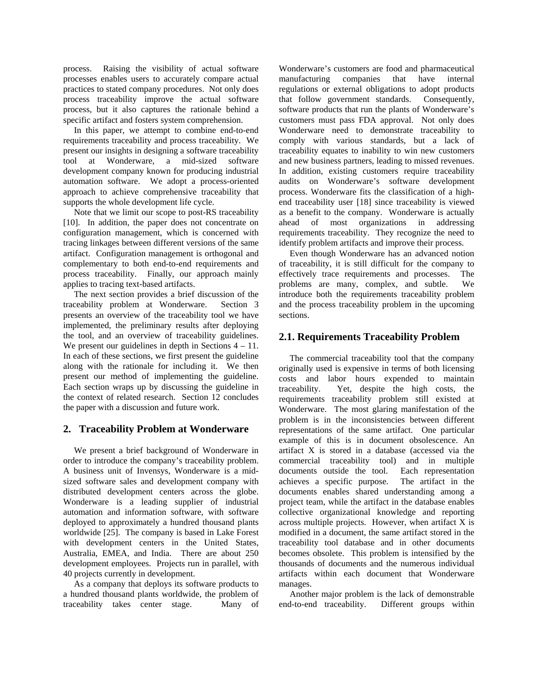process. Raising the visibility of actual software processes enables users to accurately compare actual practices to stated company procedures. Not only does process traceability improve the actual software process, but it also captures the rationale behind a specific artifact and fosters system comprehension.

In this paper, we attempt to combine end-to-end requirements traceability and process traceability. We present our insights in designing a software traceability tool at Wonderware, a mid-sized software development company known for producing industrial automation software. We adopt a process-oriented approach to achieve comprehensive traceability that supports the whole development life cycle.

Note that we limit our scope to post-RS traceability [10]. In addition, the paper does not concentrate on configuration management, which is concerned with tracing linkages between different versions of the same artifact. Configuration management is orthogonal and complementary to both end-to-end requirements and process traceability. Finally, our approach mainly applies to tracing text-based artifacts.

The next section provides a brief discussion of the traceability problem at Wonderware. Section 3 presents an overview of the traceability tool we have implemented, the preliminary results after deploying the tool, and an overview of traceability guidelines. We present our guidelines in depth in Sections  $4 - 11$ . In each of these sections, we first present the guideline along with the rationale for including it. We then present our method of implementing the guideline. Each section wraps up by discussing the guideline in the context of related research. Section 12 concludes the paper with a discussion and future work.

#### **2. Traceability Problem at Wonderware**

We present a brief background of Wonderware in order to introduce the company's traceability problem. A business unit of Invensys, Wonderware is a midsized software sales and development company with distributed development centers across the globe. Wonderware is a leading supplier of industrial automation and information software, with software deployed to approximately a hundred thousand plants worldwide [25]. The company is based in Lake Forest with development centers in the United States, Australia, EMEA, and India. There are about 250 development employees. Projects run in parallel, with 40 projects currently in development.

As a company that deploys its software products to a hundred thousand plants worldwide, the problem of traceability takes center stage. Many of Wonderware's customers are food and pharmaceutical manufacturing companies that have internal regulations or external obligations to adopt products that follow government standards. Consequently, software products that run the plants of Wonderware's customers must pass FDA approval. Not only does Wonderware need to demonstrate traceability to comply with various standards, but a lack of traceability equates to inability to win new customers and new business partners, leading to missed revenues. In addition, existing customers require traceability audits on Wonderware's software development process. Wonderware fits the classification of a highend traceability user [18] since traceability is viewed as a benefit to the company. Wonderware is actually ahead of most organizations in addressing requirements traceability. They recognize the need to identify problem artifacts and improve their process.

Even though Wonderware has an advanced notion of traceability, it is still difficult for the company to effectively trace requirements and processes. The problems are many, complex, and subtle. We introduce both the requirements traceability problem and the process traceability problem in the upcoming sections.

## **2.1. Requirements Traceability Problem**

The commercial traceability tool that the company originally used is expensive in terms of both licensing costs and labor hours expended to maintain traceability. Yet, despite the high costs, the requirements traceability problem still existed at Wonderware. The most glaring manifestation of the problem is in the inconsistencies between different representations of the same artifact. One particular example of this is in document obsolescence. An artifact X is stored in a database (accessed via the commercial traceability tool) and in multiple documents outside the tool. Each representation achieves a specific purpose. The artifact in the documents enables shared understanding among a project team, while the artifact in the database enables collective organizational knowledge and reporting across multiple projects. However, when artifact X is modified in a document, the same artifact stored in the traceability tool database and in other documents becomes obsolete. This problem is intensified by the thousands of documents and the numerous individual artifacts within each document that Wonderware manages.

Another major problem is the lack of demonstrable end-to-end traceability. Different groups within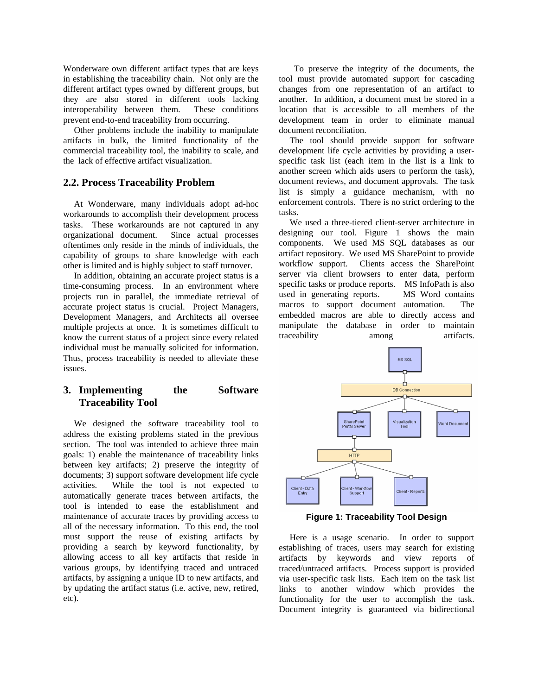Wonderware own different artifact types that are keys in establishing the traceability chain. Not only are the different artifact types owned by different groups, but they are also stored in different tools lacking interoperability between them. These conditions prevent end-to-end traceability from occurring.

Other problems include the inability to manipulate artifacts in bulk, the limited functionality of the commercial traceability tool, the inability to scale, and the lack of effective artifact visualization.

#### **2.2. Process Traceability Problem**

At Wonderware, many individuals adopt ad-hoc workarounds to accomplish their development process tasks. These workarounds are not captured in any organizational document. Since actual processes oftentimes only reside in the minds of individuals, the capability of groups to share knowledge with each other is limited and is highly subject to staff turnover.

In addition, obtaining an accurate project status is a time-consuming process. In an environment where projects run in parallel, the immediate retrieval of accurate project status is crucial. Project Managers, Development Managers, and Architects all oversee multiple projects at once. It is sometimes difficult to know the current status of a project since every related individual must be manually solicited for information. Thus, process traceability is needed to alleviate these issues.

# **3. Implementing the Software Traceability Tool**

We designed the software traceability tool to address the existing problems stated in the previous section. The tool was intended to achieve three main goals: 1) enable the maintenance of traceability links between key artifacts; 2) preserve the integrity of documents; 3) support software development life cycle activities. While the tool is not expected to automatically generate traces between artifacts, the tool is intended to ease the establishment and maintenance of accurate traces by providing access to all of the necessary information. To this end, the tool must support the reuse of existing artifacts by providing a search by keyword functionality, by allowing access to all key artifacts that reside in various groups, by identifying traced and untraced artifacts, by assigning a unique ID to new artifacts, and by updating the artifact status (i.e. active, new, retired, etc).

 To preserve the integrity of the documents, the tool must provide automated support for cascading changes from one representation of an artifact to another. In addition, a document must be stored in a location that is accessible to all members of the development team in order to eliminate manual document reconciliation.

The tool should provide support for software development life cycle activities by providing a userspecific task list (each item in the list is a link to another screen which aids users to perform the task), document reviews, and document approvals. The task list is simply a guidance mechanism, with no enforcement controls. There is no strict ordering to the tasks.

We used a three-tiered client-server architecture in designing our tool. Figure 1 shows the main components. We used MS SQL databases as our artifact repository. We used MS SharePoint to provide workflow support. Clients access the SharePoint server via client browsers to enter data, perform specific tasks or produce reports. MS InfoPath is also used in generating reports. MS Word contains macros to support document automation. The embedded macros are able to directly access and manipulate the database in order to maintain traceability among artifacts.



**Figure 1: Traceability Tool Design** 

Here is a usage scenario. In order to support establishing of traces, users may search for existing artifacts by keywords and view reports of traced/untraced artifacts. Process support is provided via user-specific task lists. Each item on the task list links to another window which provides the functionality for the user to accomplish the task. Document integrity is guaranteed via bidirectional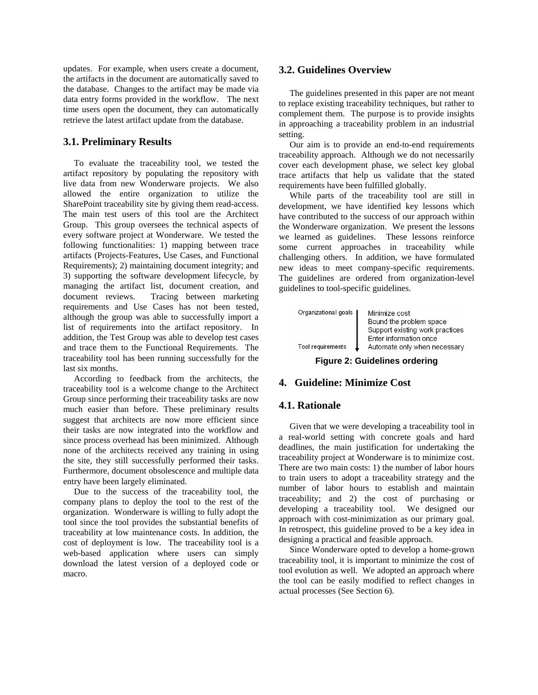updates. For example, when users create a document, the artifacts in the document are automatically saved to the database. Changes to the artifact may be made via data entry forms provided in the workflow. The next time users open the document, they can automatically retrieve the latest artifact update from the database.

#### **3.1. Preliminary Results**

To evaluate the traceability tool, we tested the artifact repository by populating the repository with live data from new Wonderware projects. We also allowed the entire organization to utilize the SharePoint traceability site by giving them read-access. The main test users of this tool are the Architect Group. This group oversees the technical aspects of every software project at Wonderware. We tested the following functionalities: 1) mapping between trace artifacts (Projects-Features, Use Cases, and Functional Requirements); 2) maintaining document integrity; and 3) supporting the software development lifecycle, by managing the artifact list, document creation, and document reviews. Tracing between marketing requirements and Use Cases has not been tested, although the group was able to successfully import a list of requirements into the artifact repository. In addition, the Test Group was able to develop test cases and trace them to the Functional Requirements. The traceability tool has been running successfully for the last six months.

According to feedback from the architects, the traceability tool is a welcome change to the Architect Group since performing their traceability tasks are now much easier than before. These preliminary results suggest that architects are now more efficient since their tasks are now integrated into the workflow and since process overhead has been minimized. Although none of the architects received any training in using the site, they still successfully performed their tasks. Furthermore, document obsolescence and multiple data entry have been largely eliminated.

Due to the success of the traceability tool, the company plans to deploy the tool to the rest of the organization. Wonderware is willing to fully adopt the tool since the tool provides the substantial benefits of traceability at low maintenance costs. In addition, the cost of deployment is low. The traceability tool is a web-based application where users can simply download the latest version of a deployed code or macro.

#### **3.2. Guidelines Overview**

The guidelines presented in this paper are not meant to replace existing traceability techniques, but rather to complement them. The purpose is to provide insights in approaching a traceability problem in an industrial setting.

Our aim is to provide an end-to-end requirements traceability approach. Although we do not necessarily cover each development phase, we select key global trace artifacts that help us validate that the stated requirements have been fulfilled globally.

While parts of the traceability tool are still in development, we have identified key lessons which have contributed to the success of our approach within the Wonderware organization. We present the lessons we learned as guidelines. These lessons reinforce some current approaches in traceability while challenging others. In addition, we have formulated new ideas to meet company-specific requirements. The guidelines are ordered from organization-level guidelines to tool-specific guidelines.

| Organizational goals | Minimize cost                   |
|----------------------|---------------------------------|
|                      | Bound the problem space         |
|                      | Support existing work practices |
|                      | Enter information once          |
| Tool requirements    | Automate only when necessary    |

**Figure 2: Guidelines ordering** 

#### **4. Guideline: Minimize Cost**

#### **4.1. Rationale**

Given that we were developing a traceability tool in a real-world setting with concrete goals and hard deadlines, the main justification for undertaking the traceability project at Wonderware is to minimize cost. There are two main costs: 1) the number of labor hours to train users to adopt a traceability strategy and the number of labor hours to establish and maintain traceability; and 2) the cost of purchasing or developing a traceability tool. We designed our approach with cost-minimization as our primary goal. In retrospect, this guideline proved to be a key idea in designing a practical and feasible approach.

Since Wonderware opted to develop a home-grown traceability tool, it is important to minimize the cost of tool evolution as well. We adopted an approach where the tool can be easily modified to reflect changes in actual processes (See Section 6).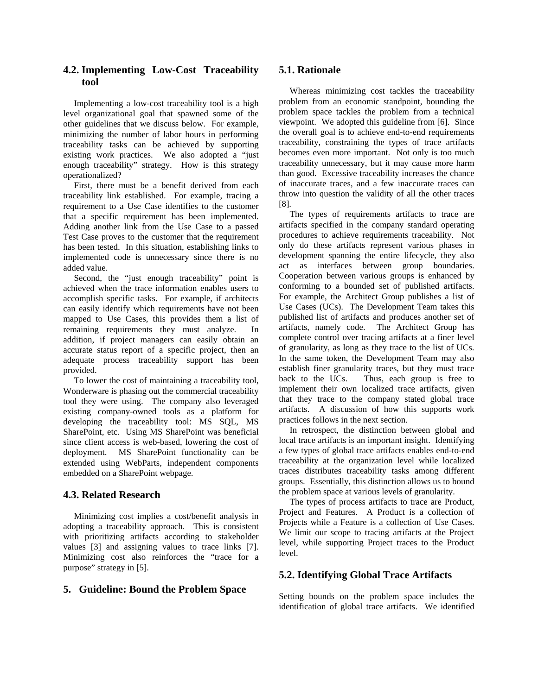# **4.2. Implementing Low-Cost Traceability tool**

Implementing a low-cost traceability tool is a high level organizational goal that spawned some of the other guidelines that we discuss below. For example, minimizing the number of labor hours in performing traceability tasks can be achieved by supporting existing work practices. We also adopted a "just enough traceability" strategy. How is this strategy operationalized?

First, there must be a benefit derived from each traceability link established. For example, tracing a requirement to a Use Case identifies to the customer that a specific requirement has been implemented. Adding another link from the Use Case to a passed Test Case proves to the customer that the requirement has been tested. In this situation, establishing links to implemented code is unnecessary since there is no added value.

Second, the "just enough traceability" point is achieved when the trace information enables users to accomplish specific tasks. For example, if architects can easily identify which requirements have not been mapped to Use Cases, this provides them a list of remaining requirements they must analyze. In addition, if project managers can easily obtain an accurate status report of a specific project, then an adequate process traceability support has been provided.

To lower the cost of maintaining a traceability tool, Wonderware is phasing out the commercial traceability tool they were using. The company also leveraged existing company-owned tools as a platform for developing the traceability tool: MS SQL, MS SharePoint, etc. Using MS SharePoint was beneficial since client access is web-based, lowering the cost of deployment. MS SharePoint functionality can be extended using WebParts, independent components embedded on a SharePoint webpage.

## **4.3. Related Research**

Minimizing cost implies a cost/benefit analysis in adopting a traceability approach. This is consistent with prioritizing artifacts according to stakeholder values [3] and assigning values to trace links [7]. Minimizing cost also reinforces the "trace for a purpose" strategy in [5].

# **5. Guideline: Bound the Problem Space**

# **5.1. Rationale**

Whereas minimizing cost tackles the traceability problem from an economic standpoint, bounding the problem space tackles the problem from a technical viewpoint. We adopted this guideline from [6]. Since the overall goal is to achieve end-to-end requirements traceability, constraining the types of trace artifacts becomes even more important. Not only is too much traceability unnecessary, but it may cause more harm than good. Excessive traceability increases the chance of inaccurate traces, and a few inaccurate traces can throw into question the validity of all the other traces [8].

The types of requirements artifacts to trace are artifacts specified in the company standard operating procedures to achieve requirements traceability. Not only do these artifacts represent various phases in development spanning the entire lifecycle, they also act as interfaces between group boundaries. Cooperation between various groups is enhanced by conforming to a bounded set of published artifacts. For example, the Architect Group publishes a list of Use Cases (UCs). The Development Team takes this published list of artifacts and produces another set of artifacts, namely code. The Architect Group has complete control over tracing artifacts at a finer level of granularity, as long as they trace to the list of UCs. In the same token, the Development Team may also establish finer granularity traces, but they must trace back to the UCs. Thus, each group is free to implement their own localized trace artifacts, given that they trace to the company stated global trace artifacts. A discussion of how this supports work practices follows in the next section.

In retrospect, the distinction between global and local trace artifacts is an important insight. Identifying a few types of global trace artifacts enables end-to-end traceability at the organization level while localized traces distributes traceability tasks among different groups. Essentially, this distinction allows us to bound the problem space at various levels of granularity.

The types of process artifacts to trace are Product, Project and Features. A Product is a collection of Projects while a Feature is a collection of Use Cases. We limit our scope to tracing artifacts at the Project level, while supporting Project traces to the Product level.

# **5.2. Identifying Global Trace Artifacts**

Setting bounds on the problem space includes the identification of global trace artifacts. We identified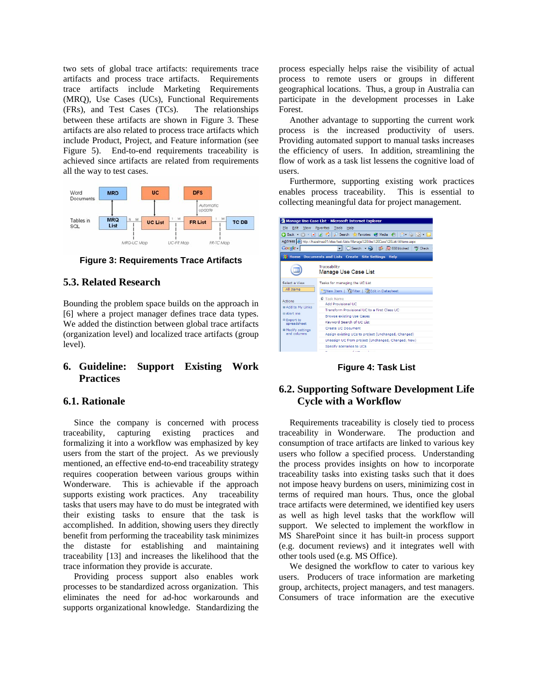two sets of global trace artifacts: requirements trace artifacts and process trace artifacts. Requirements trace artifacts include Marketing Requirements (MRQ), Use Cases (UCs), Functional Requirements (FRs), and Test Cases (TCs). The relationships between these artifacts are shown in Figure 3. These artifacts are also related to process trace artifacts which include Product, Project, and Feature information (see Figure 5). End-to-end requirements traceability is achieved since artifacts are related from requirements all the way to test cases.



**Figure 3: Requirements Trace Artifacts** 

#### **5.3. Related Research**

Bounding the problem space builds on the approach in [6] where a project manager defines trace data types. We added the distinction between global trace artifacts (organization level) and localized trace artifacts (group level).

# **6. Guideline: Support Existing Work Practices**

#### **6.1. Rationale**

Since the company is concerned with process traceability, capturing existing practices and formalizing it into a workflow was emphasized by key users from the start of the project. As we previously mentioned, an effective end-to-end traceability strategy requires cooperation between various groups within Wonderware. This is achievable if the approach supports existing work practices. Any traceability tasks that users may have to do must be integrated with their existing tasks to ensure that the task is accomplished. In addition, showing users they directly benefit from performing the traceability task minimizes the distaste for establishing and maintaining traceability [13] and increases the likelihood that the trace information they provide is accurate.

Providing process support also enables work processes to be standardized across organization. This eliminates the need for ad-hoc workarounds and supports organizational knowledge. Standardizing the process especially helps raise the visibility of actual process to remote users or groups in different geographical locations. Thus, a group in Australia can participate in the development processes in Lake Forest.

Another advantage to supporting the current work process is the increased productivity of users. Providing automated support to manual tasks increases the efficiency of users. In addition, streamlining the flow of work as a task list lessens the cognitive load of users.

Furthermore, supporting existing work practices enables process traceability. This is essential to collecting meaningful data for project management.



**Figure 4: Task List** 

# **6.2. Supporting Software Development Life Cycle with a Workflow**

Requirements traceability is closely tied to process traceability in Wonderware. The production and consumption of trace artifacts are linked to various key users who follow a specified process. Understanding the process provides insights on how to incorporate traceability tasks into existing tasks such that it does not impose heavy burdens on users, minimizing cost in terms of required man hours. Thus, once the global trace artifacts were determined, we identified key users as well as high level tasks that the workflow will support. We selected to implement the workflow in MS SharePoint since it has built-in process support (e.g. document reviews) and it integrates well with other tools used (e.g. MS Office).

We designed the workflow to cater to various key users. Producers of trace information are marketing group, architects, project managers, and test managers. Consumers of trace information are the executive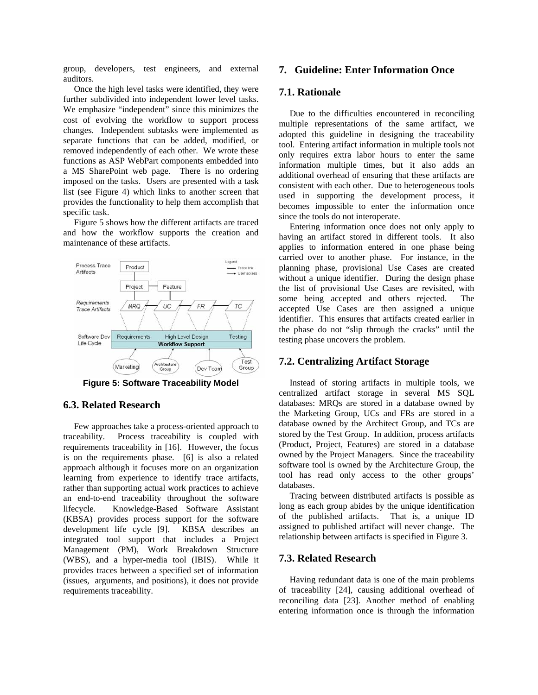group, developers, test engineers, and external auditors.

Once the high level tasks were identified, they were further subdivided into independent lower level tasks. We emphasize "independent" since this minimizes the cost of evolving the workflow to support process changes. Independent subtasks were implemented as separate functions that can be added, modified, or removed independently of each other. We wrote these functions as ASP WebPart components embedded into a MS SharePoint web page. There is no ordering imposed on the tasks. Users are presented with a task list (see Figure 4) which links to another screen that provides the functionality to help them accomplish that specific task.

Figure 5 shows how the different artifacts are traced and how the workflow supports the creation and maintenance of these artifacts.



**Figure 5: Software Traceability Model** 

#### **6.3. Related Research**

Few approaches take a process-oriented approach to traceability. Process traceability is coupled with requirements traceability in [16]. However, the focus is on the requirements phase. [6] is also a related approach although it focuses more on an organization learning from experience to identify trace artifacts, rather than supporting actual work practices to achieve an end-to-end traceability throughout the software lifecycle. Knowledge-Based Software Assistant (KBSA) provides process support for the software development life cycle [9]. KBSA describes an integrated tool support that includes a Project Management (PM), Work Breakdown Structure (WBS), and a hyper-media tool (IBIS). While it provides traces between a specified set of information (issues, arguments, and positions), it does not provide requirements traceability.

#### **7. Guideline: Enter Information Once**

#### **7.1. Rationale**

Due to the difficulties encountered in reconciling multiple representations of the same artifact, we adopted this guideline in designing the traceability tool. Entering artifact information in multiple tools not only requires extra labor hours to enter the same information multiple times, but it also adds an additional overhead of ensuring that these artifacts are consistent with each other. Due to heterogeneous tools used in supporting the development process, it becomes impossible to enter the information once since the tools do not interoperate.

Entering information once does not only apply to having an artifact stored in different tools. It also applies to information entered in one phase being carried over to another phase. For instance, in the planning phase, provisional Use Cases are created without a unique identifier. During the design phase the list of provisional Use Cases are revisited, with some being accepted and others rejected. The accepted Use Cases are then assigned a unique identifier. This ensures that artifacts created earlier in the phase do not "slip through the cracks" until the testing phase uncovers the problem.

#### **7.2. Centralizing Artifact Storage**

Instead of storing artifacts in multiple tools, we centralized artifact storage in several MS SQL databases: MRQs are stored in a database owned by the Marketing Group, UCs and FRs are stored in a database owned by the Architect Group, and TCs are stored by the Test Group. In addition, process artifacts (Product, Project, Features) are stored in a database owned by the Project Managers. Since the traceability software tool is owned by the Architecture Group, the tool has read only access to the other groups' databases.

Tracing between distributed artifacts is possible as long as each group abides by the unique identification of the published artifacts. That is, a unique ID assigned to published artifact will never change. The relationship between artifacts is specified in Figure 3.

#### **7.3. Related Research**

Having redundant data is one of the main problems of traceability [24], causing additional overhead of reconciling data [23]. Another method of enabling entering information once is through the information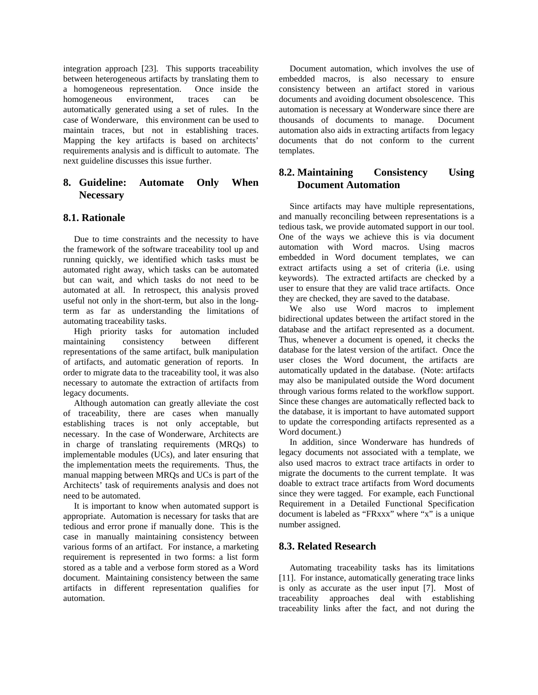integration approach [23]. This supports traceability between heterogeneous artifacts by translating them to a homogeneous representation. Once inside the homogeneous environment, traces can be automatically generated using a set of rules. In the case of Wonderware, this environment can be used to maintain traces, but not in establishing traces. Mapping the key artifacts is based on architects' requirements analysis and is difficult to automate. The next guideline discusses this issue further.

# **8. Guideline: Automate Only When Necessary**

#### **8.1. Rationale**

Due to time constraints and the necessity to have the framework of the software traceability tool up and running quickly, we identified which tasks must be automated right away, which tasks can be automated but can wait, and which tasks do not need to be automated at all. In retrospect, this analysis proved useful not only in the short-term, but also in the longterm as far as understanding the limitations of automating traceability tasks.

High priority tasks for automation included maintaining consistency between different representations of the same artifact, bulk manipulation of artifacts, and automatic generation of reports. In order to migrate data to the traceability tool, it was also necessary to automate the extraction of artifacts from legacy documents.

Although automation can greatly alleviate the cost of traceability, there are cases when manually establishing traces is not only acceptable, but necessary. In the case of Wonderware, Architects are in charge of translating requirements (MRQs) to implementable modules (UCs), and later ensuring that the implementation meets the requirements. Thus, the manual mapping between MRQs and UCs is part of the Architects' task of requirements analysis and does not need to be automated.

It is important to know when automated support is appropriate. Automation is necessary for tasks that are tedious and error prone if manually done. This is the case in manually maintaining consistency between various forms of an artifact. For instance, a marketing requirement is represented in two forms: a list form stored as a table and a verbose form stored as a Word document. Maintaining consistency between the same artifacts in different representation qualifies for automation.

Document automation, which involves the use of embedded macros, is also necessary to ensure consistency between an artifact stored in various documents and avoiding document obsolescence. This automation is necessary at Wonderware since there are thousands of documents to manage. Document automation also aids in extracting artifacts from legacy documents that do not conform to the current templates.

#### **8.2. Maintaining Consistency Using Document Automation**

Since artifacts may have multiple representations, and manually reconciling between representations is a tedious task, we provide automated support in our tool. One of the ways we achieve this is via document automation with Word macros. Using macros embedded in Word document templates, we can extract artifacts using a set of criteria (i.e. using keywords). The extracted artifacts are checked by a user to ensure that they are valid trace artifacts. Once they are checked, they are saved to the database.

We also use Word macros to implement bidirectional updates between the artifact stored in the database and the artifact represented as a document. Thus, whenever a document is opened, it checks the database for the latest version of the artifact. Once the user closes the Word document, the artifacts are automatically updated in the database. (Note: artifacts may also be manipulated outside the Word document through various forms related to the workflow support. Since these changes are automatically reflected back to the database, it is important to have automated support to update the corresponding artifacts represented as a Word document.)

In addition, since Wonderware has hundreds of legacy documents not associated with a template, we also used macros to extract trace artifacts in order to migrate the documents to the current template. It was doable to extract trace artifacts from Word documents since they were tagged. For example, each Functional Requirement in a Detailed Functional Specification document is labeled as "FRxxx" where "x" is a unique number assigned.

#### **8.3. Related Research**

Automating traceability tasks has its limitations [11]. For instance, automatically generating trace links is only as accurate as the user input [7]. Most of traceability approaches deal with establishing traceability links after the fact, and not during the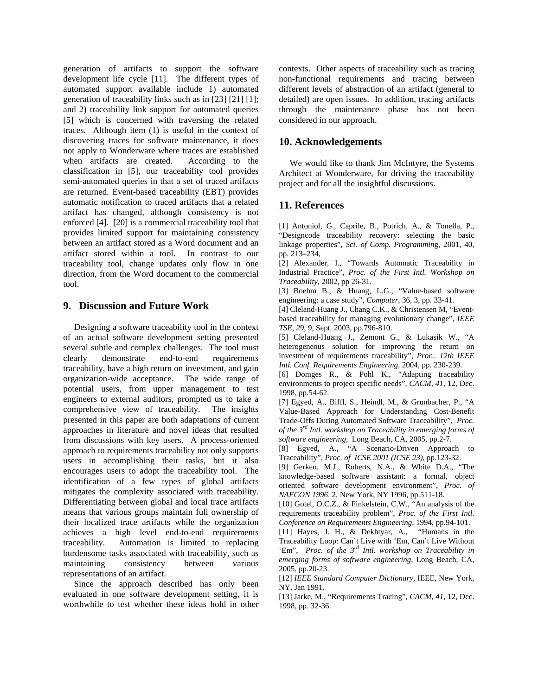generation of artifacts to support the software development life cycle [11]. The different types of automated support available include 1) automated generation of traceability links such as in [23] [21] [1]; and 2) traceability link support for automated queries [5] which is concerned with traversing the related traces. Although item (1) is useful in the context of discovering traces for software maintenance, it does not apply to Wonderware where traces are established when artifacts are created. According to the classification in [5], our traceability tool provides semi-automated queries in that a set of traced artifacts are returned. Event-based traceability (EBT) provides automatic notification to traced artifacts that a related artifact has changed, although consistency is not enforced [4]. [20] is a commercial traceability tool that provides limited support for maintaining consistency between an artifact stored as a Word document and an artifact stored within a tool. In contrast to our traceability tool, change updates only flow in one direction, from the Word document to the commercial tool.

## **9. Discussion and Future Work**

Designing a software traceability tool in the context of an actual software development setting presented several subtle and complex challenges. The tool must clearly demonstrate end-to-end requirements traceability, have a high return on investment, and gain organization-wide acceptance. The wide range of potential users, from upper management to test engineers to external auditors, prompted us to take a comprehensive view of traceability. The insights presented in this paper are both adaptations of current approaches in literature and novel ideas that resulted from discussions with key users. A process-oriented approach to requirements traceability not only supports users in accomplishing their tasks, but it also encourages users to adopt the traceability tool. The identification of a few types of global artifacts mitigates the complexity associated with traceability. Differentiating between global and local trace artifacts means that various groups maintain full ownership of their localized trace artifacts while the organization achieves a high level end-to-end requirements traceability. Automation is limited to replacing burdensome tasks associated with traceability, such as maintaining consistency between various representations of an artifact.

Since the approach described has only been evaluated in one software development setting, it is worthwhile to test whether these ideas hold in other contexts. Other aspects of traceability such as tracing non-functional requirements and tracing between different levels of abstraction of an artifact (general to detailed) are open issues. In addition, tracing artifacts through the maintenance phase has not been considered in our approach.

#### **10. Acknowledgements**

We would like to thank Jim McIntyre, the Systems Architect at Wonderware, for driving the traceability project and for all the insightful discussions.

## **11. References**

[1] Antoniol, G., Caprile, B., Potrich, A., & Tonella, P., "Designcode traceability recovery: selecting the basic linkage properties", *Sci. of Comp. Programmin*g, 2001, 40, pp. 213–234,

[2] Alexander, I., "Towards Automatic Traceability in Industrial Practice", *Proc. of the First Intl. Workshop on Traceability*, 2002, pp 26-31.

[3] Boehm B., & Huang, L.G., "Value-based software engineering: a case study", *Computer*, 36, 3, pp. 33-41.

[4] Cleland-Huang J., Chang C.K., & Christensen M, "Eventbased traceability for managing evolutionary change", *IEEE TSE, 29*, 9, Sept. 2003, pp.796-810.

[5] Cleland-Huang J., Zemont G., & Lukasik W., "A heterogeneous solution for improving the return on investment of requirements traceability", *Proc.. 12th IEEE Intl. Conf. Requirements Engineering*, 2004, pp. 230-239.

[6] Domges R., & Pohl K., "Adapting traceability environments to project specific needs", *CACM*, *41*, 12, Dec. 1998, pp.54-62.

[7] Egyed, A., Biffl, S., Heindl, M., & Grunbacher, P., "A Value-Based Approach for Understanding Cost-Benefit Trade-Offs During Automated Software Traceability", *Proc. of the 3rd Intl. workshop on Traceability in emerging forms of software engineering,* Long Beach, CA, 2005, pp.2-7.

[8] Egyed, A., "A Scenario-Driven Approach to Traceability", *Proc. of ICSE 2001 (ICSE 23)*, pp.123-32.

[9] Gerken, M.J., Roberts, N.A., & White D.A., "The knowledge-based software assistant: a formal, object oriented software development environment", *Proc. of NAECON 1996*. 2, New York, NY 1996, pp.511-18.

[10] Gotel, O.C.Z., & Finkelstein, C.W., "An analysis of the requirements traceability problem", *Proc. of the First Intl. Conference on Requirements Engineering,* 1994, pp.94-101.

[11] Hayes, J. H., & Dekhtyar, A., "Humans in the Traceability Loop: Can't Live with 'Em, Can't Live Without 'Em", *Proc. of the 3rd Intl. workshop on Traceability in emerging forms of software engineering*, Long Beach, CA, 2005, pp.20-23.

[12] *IEEE Standard Computer Dictionary*, IEEE, New York, NY, Jan 1991.

[13] Jarke, M., "Requirements Tracing", *CACM*, *41*, 12, Dec. 1998, pp. 32-36.